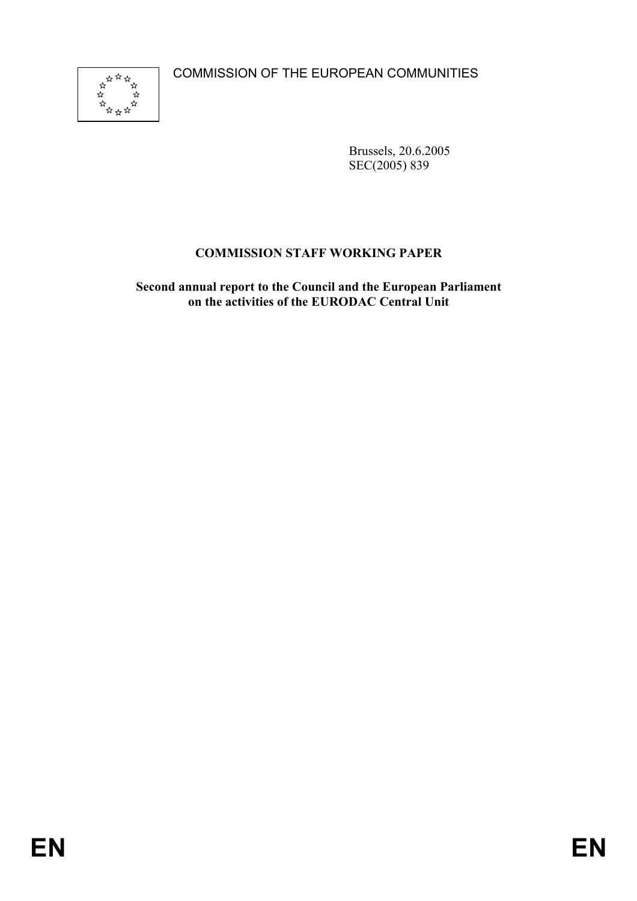COMMISSION OF THE EUROPEAN COMMUNITIES



Brussels, 20.6.2005 SEC(2005) 839

# **COMMISSION STAFF WORKING PAPER**

**Second annual report to the Council and the European Parliament on the activities of the EURODAC Central Unit**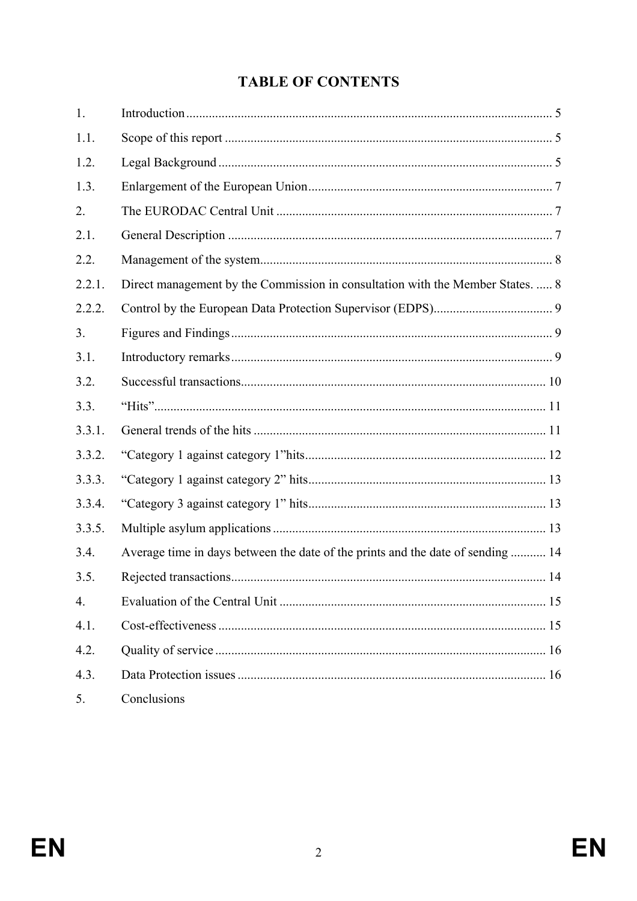# **TABLE OF CONTENTS**

| 1.               |                                                                                 |  |
|------------------|---------------------------------------------------------------------------------|--|
| 1.1.             |                                                                                 |  |
| 1.2.             |                                                                                 |  |
| 1.3.             |                                                                                 |  |
| 2.               |                                                                                 |  |
| 2.1.             |                                                                                 |  |
| 2.2.             |                                                                                 |  |
| 2.2.1.           | Direct management by the Commission in consultation with the Member States.  8  |  |
| 2.2.2.           |                                                                                 |  |
| 3.               |                                                                                 |  |
| 3.1.             |                                                                                 |  |
| 3.2.             |                                                                                 |  |
| 3.3.             |                                                                                 |  |
| 3.3.1.           |                                                                                 |  |
| 3.3.2.           |                                                                                 |  |
| 3.3.3.           |                                                                                 |  |
| 3.3.4.           |                                                                                 |  |
| 3.3.5.           |                                                                                 |  |
| 3.4.             | Average time in days between the date of the prints and the date of sending  14 |  |
| 3.5.             |                                                                                 |  |
| $\overline{4}$ . |                                                                                 |  |
| 4.1.             |                                                                                 |  |
| 4.2.             |                                                                                 |  |
| 4.3.             |                                                                                 |  |
| 5.               | Conclusions                                                                     |  |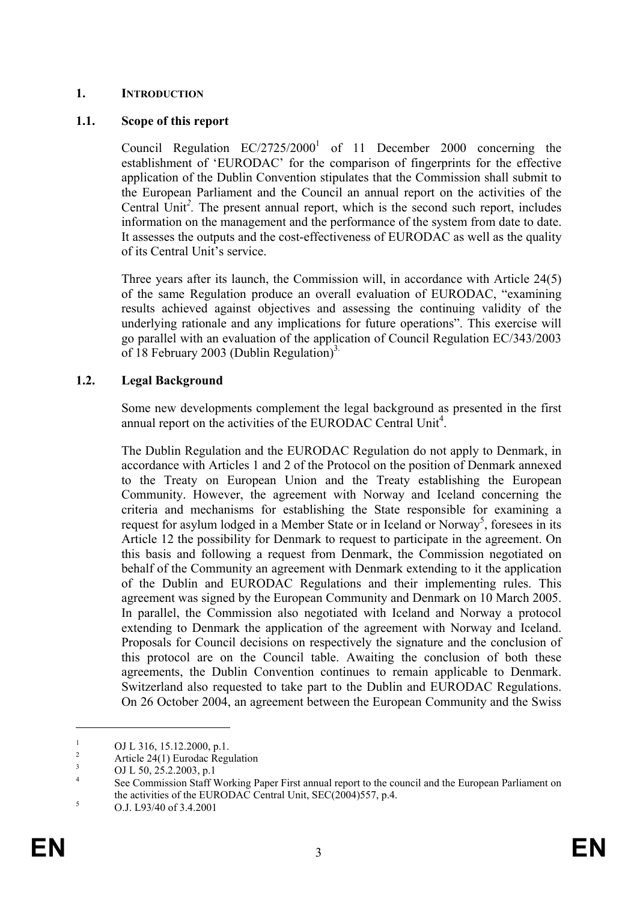#### **1. INTRODUCTION**

#### **1.1. Scope of this report**

Council Regulation  $EC/2725/2000<sup>1</sup>$  of 11 December 2000 concerning the establishment of 'EURODAC' for the comparison of fingerprints for the effective application of the Dublin Convention stipulates that the Commission shall submit to the European Parliament and the Council an annual report on the activities of the Central Unit<sup>2</sup>. The present annual report, which is the second such report, includes information on the management and the performance of the system from date to date. It assesses the outputs and the cost-effectiveness of EURODAC as well as the quality of its Central Unit's service.

Three years after its launch, the Commission will, in accordance with Article 24(5) of the same Regulation produce an overall evaluation of EURODAC, "examining results achieved against objectives and assessing the continuing validity of the underlying rationale and any implications for future operations". This exercise will go parallel with an evaluation of the application of Council Regulation EC/343/2003 of 18 February 2003 (Dublin Regulation)<sup>3.</sup>

# **1.2. Legal Background**

Some new developments complement the legal background as presented in the first annual report on the activities of the EURODAC Central Unit<sup>4</sup>.

The Dublin Regulation and the EURODAC Regulation do not apply to Denmark, in accordance with Articles 1 and 2 of the Protocol on the position of Denmark annexed to the Treaty on European Union and the Treaty establishing the European Community. However, the agreement with Norway and Iceland concerning the criteria and mechanisms for establishing the State responsible for examining a request for asylum lodged in a Member State or in Iceland or Norway<sup>5</sup>, foresees in its Article 12 the possibility for Denmark to request to participate in the agreement. On this basis and following a request from Denmark, the Commission negotiated on behalf of the Community an agreement with Denmark extending to it the application of the Dublin and EURODAC Regulations and their implementing rules. This agreement was signed by the European Community and Denmark on 10 March 2005. In parallel, the Commission also negotiated with Iceland and Norway a protocol extending to Denmark the application of the agreement with Norway and Iceland. Proposals for Council decisions on respectively the signature and the conclusion of this protocol are on the Council table. Awaiting the conclusion of both these agreements, the Dublin Convention continues to remain applicable to Denmark. Switzerland also requested to take part to the Dublin and EURODAC Regulations. On 26 October 2004, an agreement between the European Community and the Swiss

<sup>1</sup> OJ L 316, 15.12.2000, p.1.

<sup>2</sup> Article 24(1) Eurodac Regulation

<sup>3</sup> OJ L 50, 25.2.2003, p.1

<sup>4</sup> See Commission Staff Working Paper First annual report to the council and the European Parliament on the activities of the EURODAC Central Unit, SEC(2004)557, p.4.  $5 \qquad \qquad \text{O} \cdot 1.193/49.653.42991$ 

O.J. L93/40 of 3.4.2001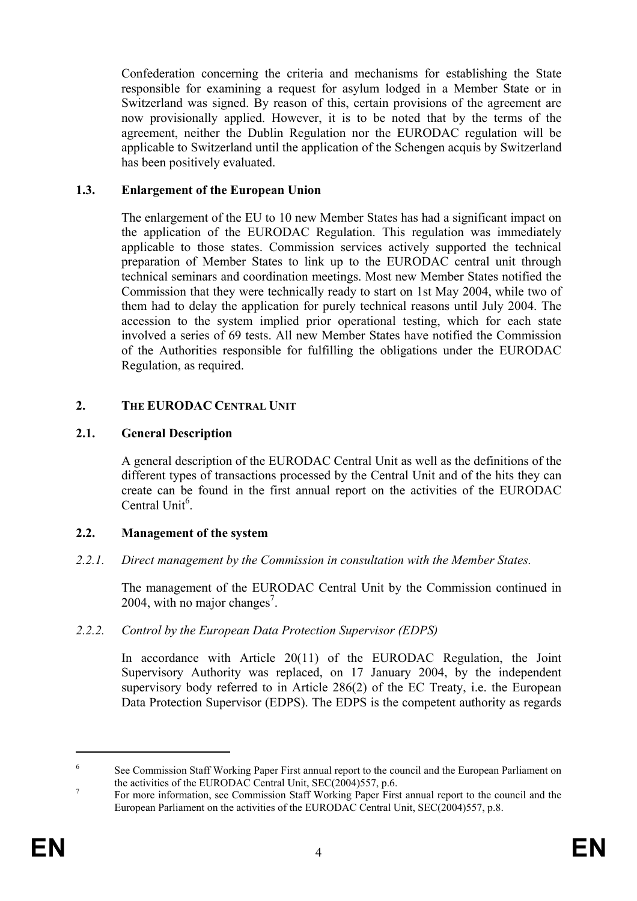Confederation concerning the criteria and mechanisms for establishing the State responsible for examining a request for asylum lodged in a Member State or in Switzerland was signed. By reason of this, certain provisions of the agreement are now provisionally applied. However, it is to be noted that by the terms of the agreement, neither the Dublin Regulation nor the EURODAC regulation will be applicable to Switzerland until the application of the Schengen acquis by Switzerland has been positively evaluated.

#### **1.3. Enlargement of the European Union**

The enlargement of the EU to 10 new Member States has had a significant impact on the application of the EURODAC Regulation. This regulation was immediately applicable to those states. Commission services actively supported the technical preparation of Member States to link up to the EURODAC central unit through technical seminars and coordination meetings. Most new Member States notified the Commission that they were technically ready to start on 1st May 2004, while two of them had to delay the application for purely technical reasons until July 2004. The accession to the system implied prior operational testing, which for each state involved a series of 69 tests. All new Member States have notified the Commission of the Authorities responsible for fulfilling the obligations under the EURODAC Regulation, as required.

#### **2. THE EURODAC CENTRAL UNIT**

#### **2.1. General Description**

A general description of the EURODAC Central Unit as well as the definitions of the different types of transactions processed by the Central Unit and of the hits they can create can be found in the first annual report on the activities of the EURODAC Central Unit $<sup>6</sup>$ .</sup>

# **2.2. Management of the system**

*2.2.1. Direct management by the Commission in consultation with the Member States.* 

The management of the EURODAC Central Unit by the Commission continued in 2004, with no major changes<sup>7</sup>.

#### *2.2.2. Control by the European Data Protection Supervisor (EDPS)*

In accordance with Article 20(11) of the EURODAC Regulation, the Joint Supervisory Authority was replaced, on 17 January 2004, by the independent supervisory body referred to in Article 286(2) of the EC Treaty, i.e. the European Data Protection Supervisor (EDPS). The EDPS is the competent authority as regards

<sup>6</sup> See Commission Staff Working Paper First annual report to the council and the European Parliament on the activities of the EURODAC Central Unit,  $SEC(2004)557$ , p.6.

For more information, see Commission Staff Working Paper First annual report to the council and the European Parliament on the activities of the EURODAC Central Unit, SEC(2004)557, p.8.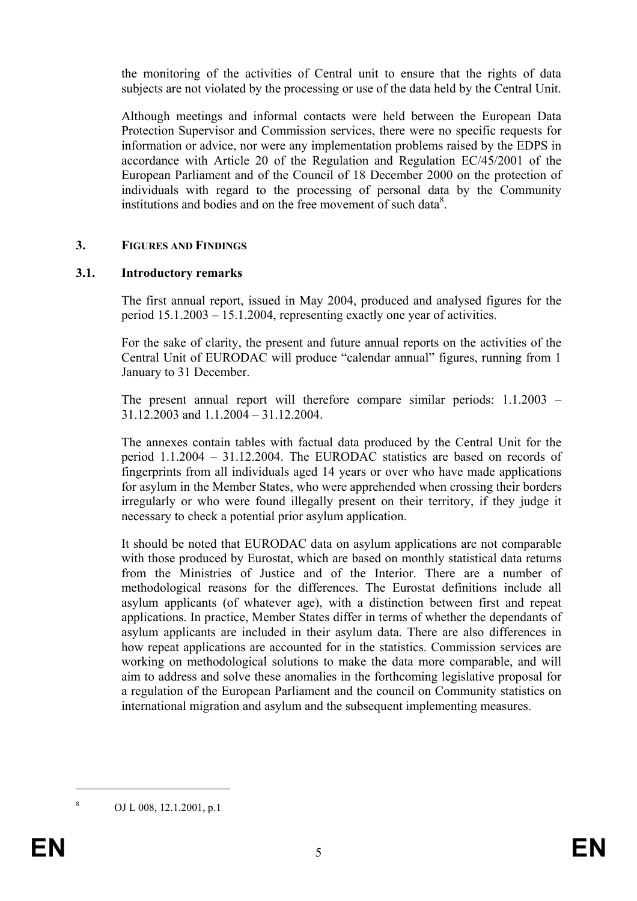the monitoring of the activities of Central unit to ensure that the rights of data subjects are not violated by the processing or use of the data held by the Central Unit.

Although meetings and informal contacts were held between the European Data Protection Supervisor and Commission services, there were no specific requests for information or advice, nor were any implementation problems raised by the EDPS in accordance with Article 20 of the Regulation and Regulation EC/45/2001 of the European Parliament and of the Council of 18 December 2000 on the protection of individuals with regard to the processing of personal data by the Community institutions and bodies and on the free movement of such data<sup>8</sup>.

#### **3. FIGURES AND FINDINGS**

#### **3.1. Introductory remarks**

The first annual report, issued in May 2004, produced and analysed figures for the period 15.1.2003 – 15.1.2004, representing exactly one year of activities.

For the sake of clarity, the present and future annual reports on the activities of the Central Unit of EURODAC will produce "calendar annual" figures, running from 1 January to 31 December.

The present annual report will therefore compare similar periods: 1.1.2003 – 31.12.2003 and 1.1.2004 – 31.12.2004.

The annexes contain tables with factual data produced by the Central Unit for the period 1.1.2004 – 31.12.2004. The EURODAC statistics are based on records of fingerprints from all individuals aged 14 years or over who have made applications for asylum in the Member States, who were apprehended when crossing their borders irregularly or who were found illegally present on their territory, if they judge it necessary to check a potential prior asylum application.

It should be noted that EURODAC data on asylum applications are not comparable with those produced by Eurostat, which are based on monthly statistical data returns from the Ministries of Justice and of the Interior. There are a number of methodological reasons for the differences. The Eurostat definitions include all asylum applicants (of whatever age), with a distinction between first and repeat applications. In practice, Member States differ in terms of whether the dependants of asylum applicants are included in their asylum data. There are also differences in how repeat applications are accounted for in the statistics. Commission services are working on methodological solutions to make the data more comparable, and will aim to address and solve these anomalies in the forthcoming legislative proposal for a regulation of the European Parliament and the council on Community statistics on international migration and asylum and the subsequent implementing measures.

OJ L 008, 12.1.2001, p.1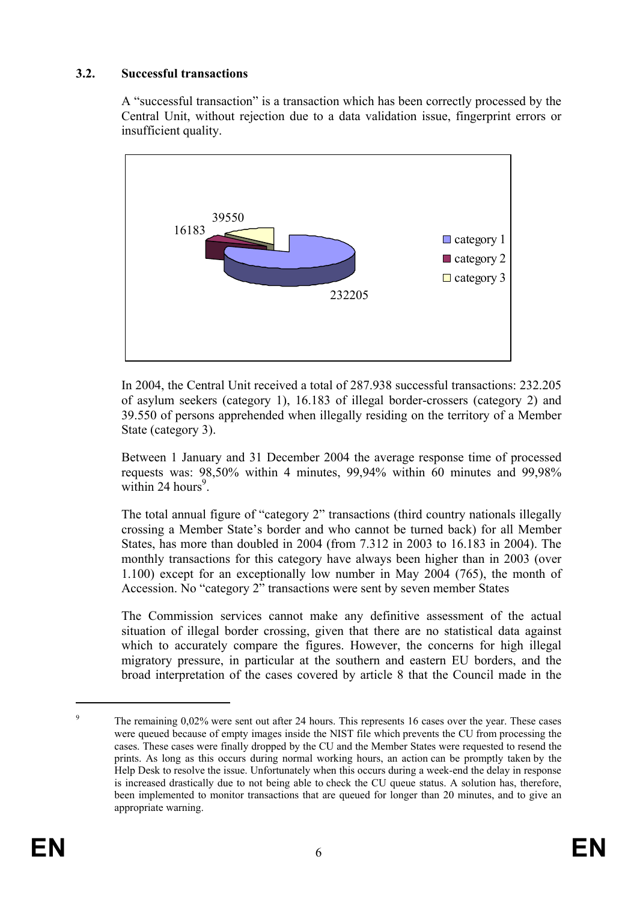#### **3.2. Successful transactions**

A "successful transaction" is a transaction which has been correctly processed by the Central Unit, without rejection due to a data validation issue, fingerprint errors or insufficient quality.



In 2004, the Central Unit received a total of 287.938 successful transactions: 232.205 of asylum seekers (category 1), 16.183 of illegal border-crossers (category 2) and 39.550 of persons apprehended when illegally residing on the territory of a Member State (category 3).

Between 1 January and 31 December 2004 the average response time of processed requests was: 98,50% within 4 minutes, 99,94% within 60 minutes and 99,98% within 24 hours<sup>9</sup>.

The total annual figure of "category 2" transactions (third country nationals illegally crossing a Member State's border and who cannot be turned back) for all Member States, has more than doubled in 2004 (from 7.312 in 2003 to 16.183 in 2004). The monthly transactions for this category have always been higher than in 2003 (over 1.100) except for an exceptionally low number in May 2004 (765), the month of Accession. No "category 2" transactions were sent by seven member States

The Commission services cannot make any definitive assessment of the actual situation of illegal border crossing, given that there are no statistical data against which to accurately compare the figures. However, the concerns for high illegal migratory pressure, in particular at the southern and eastern EU borders, and the broad interpretation of the cases covered by article 8 that the Council made in the

<sup>9</sup> The remaining 0,02% were sent out after 24 hours. This represents 16 cases over the year. These cases were queued because of empty images inside the NIST file which prevents the CU from processing the cases. These cases were finally dropped by the CU and the Member States were requested to resend the prints. As long as this occurs during normal working hours, an action can be promptly taken by the Help Desk to resolve the issue. Unfortunately when this occurs during a week-end the delay in response is increased drastically due to not being able to check the CU queue status. A solution has, therefore, been implemented to monitor transactions that are queued for longer than 20 minutes, and to give an appropriate warning.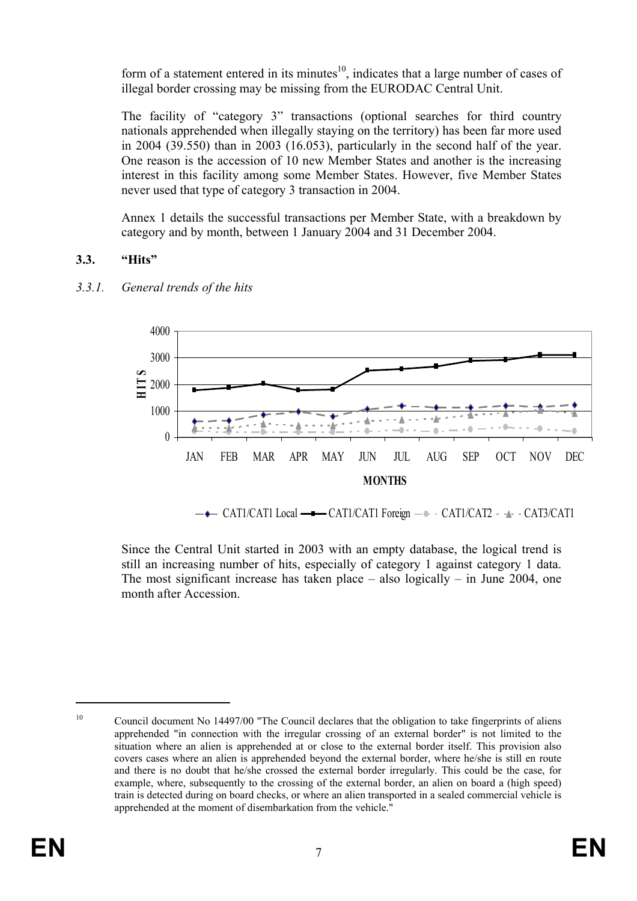form of a statement entered in its minutes $10$ , indicates that a large number of cases of illegal border crossing may be missing from the EURODAC Central Unit.

The facility of "category 3" transactions (optional searches for third country nationals apprehended when illegally staying on the territory) has been far more used in 2004 (39.550) than in 2003 (16.053), particularly in the second half of the year. One reason is the accession of 10 new Member States and another is the increasing interest in this facility among some Member States. However, five Member States never used that type of category 3 transaction in 2004.

Annex 1 details the successful transactions per Member State, with a breakdown by category and by month, between 1 January 2004 and 31 December 2004.

# **3.3. "Hits"**



# *3.3.1. General trends of the hits*

Since the Central Unit started in 2003 with an empty database, the logical trend is still an increasing number of hits, especially of category 1 against category 1 data. The most significant increase has taken place – also logically – in June 2004, one month after Accession.

 $\overline{a}$ 

<sup>&</sup>lt;sup>10</sup> Council document No 14497/00 "The Council declares that the obligation to take fingerprints of aliens apprehended "in connection with the irregular crossing of an external border" is not limited to the situation where an alien is apprehended at or close to the external border itself. This provision also covers cases where an alien is apprehended beyond the external border, where he/she is still en route and there is no doubt that he/she crossed the external border irregularly. This could be the case, for example, where, subsequently to the crossing of the external border, an alien on board a (high speed) train is detected during on board checks, or where an alien transported in a sealed commercial vehicle is apprehended at the moment of disembarkation from the vehicle."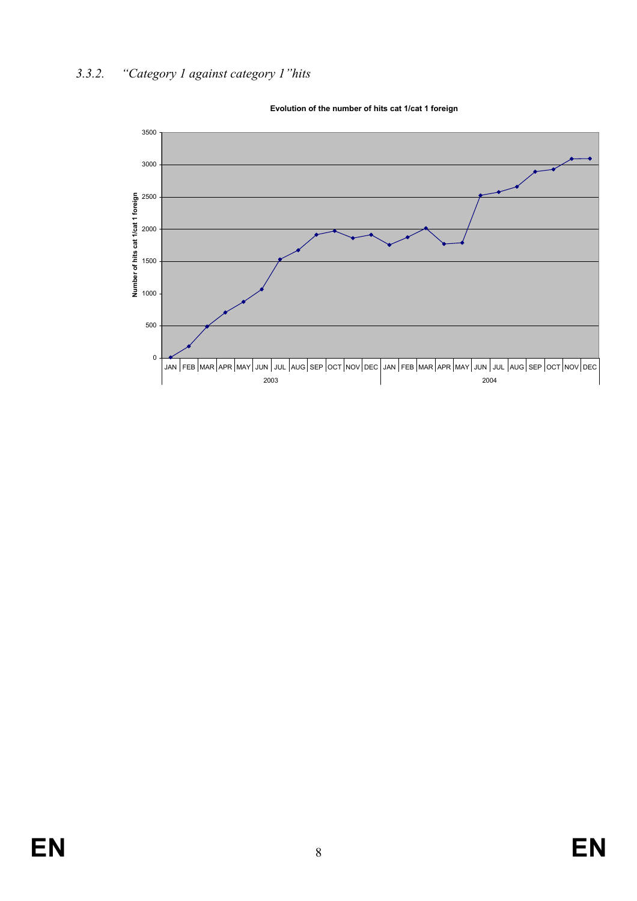# *3.3.2. "Category 1 against category 1"hits*



**Evolution of the number of hits cat 1/cat 1 foreign**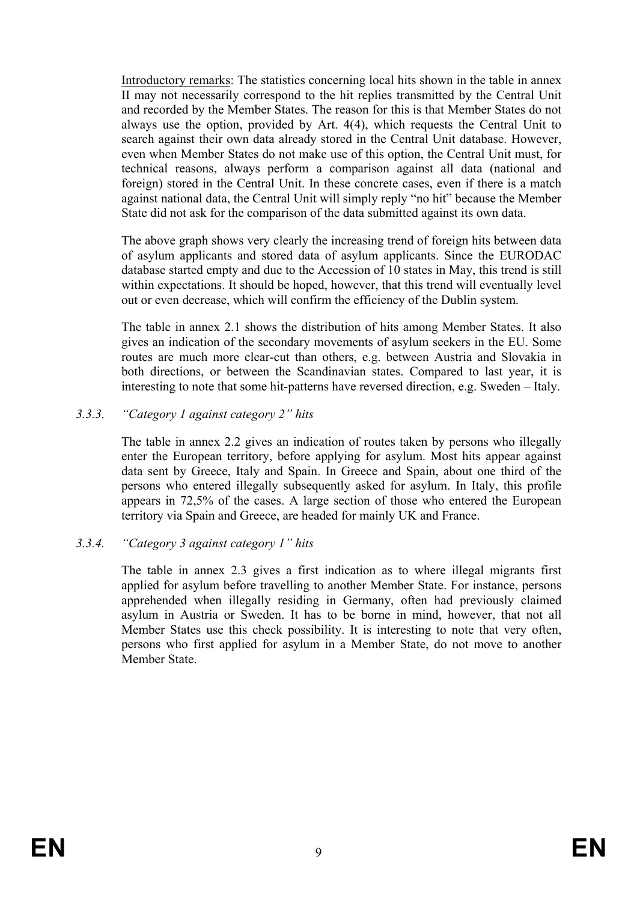Introductory remarks: The statistics concerning local hits shown in the table in annex II may not necessarily correspond to the hit replies transmitted by the Central Unit and recorded by the Member States. The reason for this is that Member States do not always use the option, provided by Art. 4(4), which requests the Central Unit to search against their own data already stored in the Central Unit database. However, even when Member States do not make use of this option, the Central Unit must, for technical reasons, always perform a comparison against all data (national and foreign) stored in the Central Unit. In these concrete cases, even if there is a match against national data, the Central Unit will simply reply "no hit" because the Member State did not ask for the comparison of the data submitted against its own data.

The above graph shows very clearly the increasing trend of foreign hits between data of asylum applicants and stored data of asylum applicants. Since the EURODAC database started empty and due to the Accession of 10 states in May, this trend is still within expectations. It should be hoped, however, that this trend will eventually level out or even decrease, which will confirm the efficiency of the Dublin system.

The table in annex 2.1 shows the distribution of hits among Member States. It also gives an indication of the secondary movements of asylum seekers in the EU. Some routes are much more clear-cut than others, e.g. between Austria and Slovakia in both directions, or between the Scandinavian states. Compared to last year, it is interesting to note that some hit-patterns have reversed direction, e.g. Sweden – Italy.

#### *3.3.3. "Category 1 against category 2" hits*

The table in annex 2.2 gives an indication of routes taken by persons who illegally enter the European territory, before applying for asylum. Most hits appear against data sent by Greece, Italy and Spain. In Greece and Spain, about one third of the persons who entered illegally subsequently asked for asylum. In Italy, this profile appears in 72,5% of the cases. A large section of those who entered the European territory via Spain and Greece, are headed for mainly UK and France.

#### *3.3.4. "Category 3 against category 1" hits*

The table in annex 2.3 gives a first indication as to where illegal migrants first applied for asylum before travelling to another Member State. For instance, persons apprehended when illegally residing in Germany, often had previously claimed asylum in Austria or Sweden. It has to be borne in mind, however, that not all Member States use this check possibility. It is interesting to note that very often, persons who first applied for asylum in a Member State, do not move to another Member State.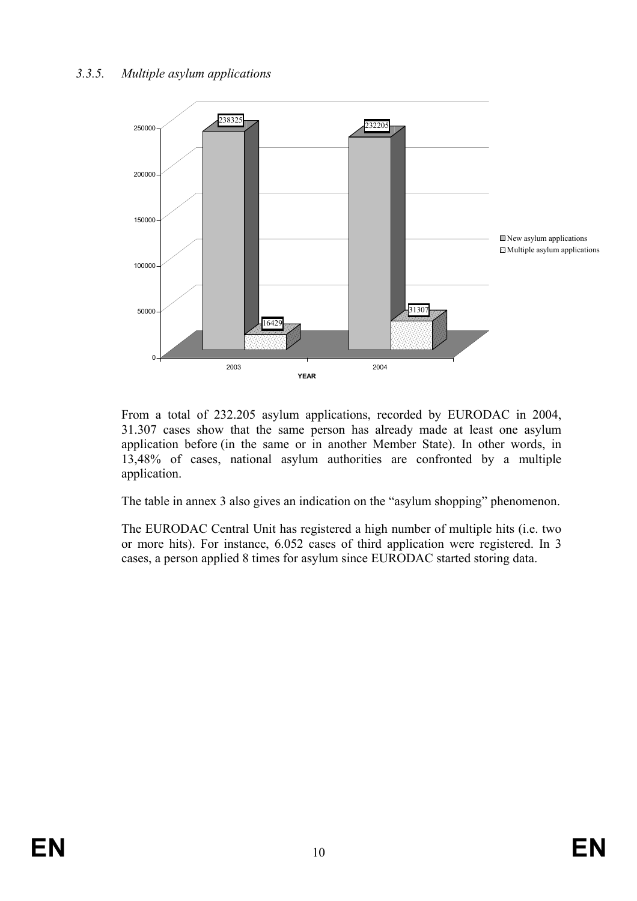

From a total of 232.205 asylum applications, recorded by EURODAC in 2004, 31.307 cases show that the same person has already made at least one asylum application before (in the same or in another Member State). In other words, in 13,48% of cases, national asylum authorities are confronted by a multiple application.

The table in annex 3 also gives an indication on the "asylum shopping" phenomenon.

The EURODAC Central Unit has registered a high number of multiple hits (i.e. two or more hits). For instance, 6.052 cases of third application were registered. In 3 cases, a person applied 8 times for asylum since EURODAC started storing data.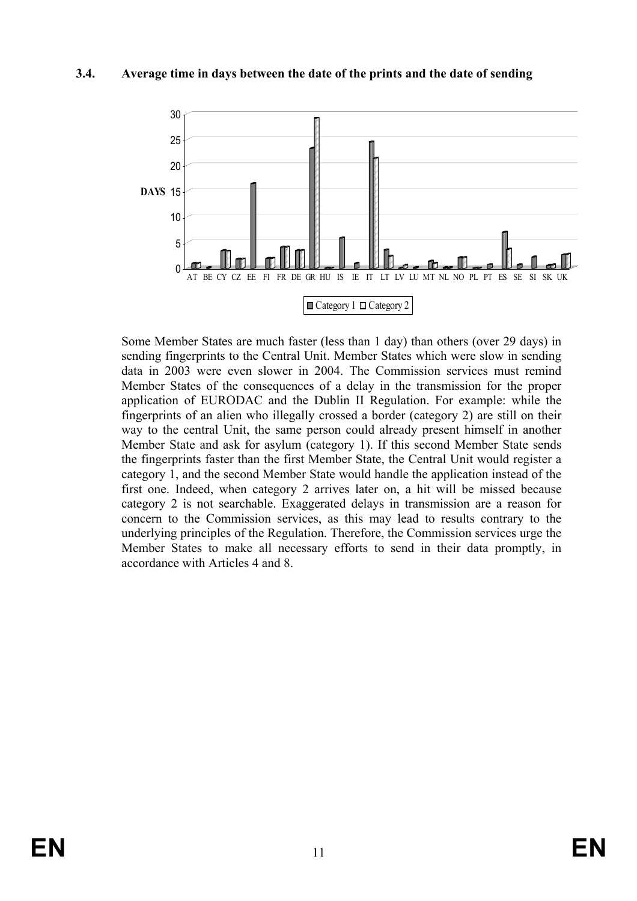#### **3.4. Average time in days between the date of the prints and the date of sending**



Some Member States are much faster (less than 1 day) than others (over 29 days) in sending fingerprints to the Central Unit. Member States which were slow in sending data in 2003 were even slower in 2004. The Commission services must remind Member States of the consequences of a delay in the transmission for the proper application of EURODAC and the Dublin II Regulation. For example: while the fingerprints of an alien who illegally crossed a border (category 2) are still on their way to the central Unit, the same person could already present himself in another Member State and ask for asylum (category 1). If this second Member State sends the fingerprints faster than the first Member State, the Central Unit would register a category 1, and the second Member State would handle the application instead of the first one. Indeed, when category 2 arrives later on, a hit will be missed because category 2 is not searchable. Exaggerated delays in transmission are a reason for concern to the Commission services, as this may lead to results contrary to the underlying principles of the Regulation. Therefore, the Commission services urge the Member States to make all necessary efforts to send in their data promptly, in accordance with Articles 4 and 8.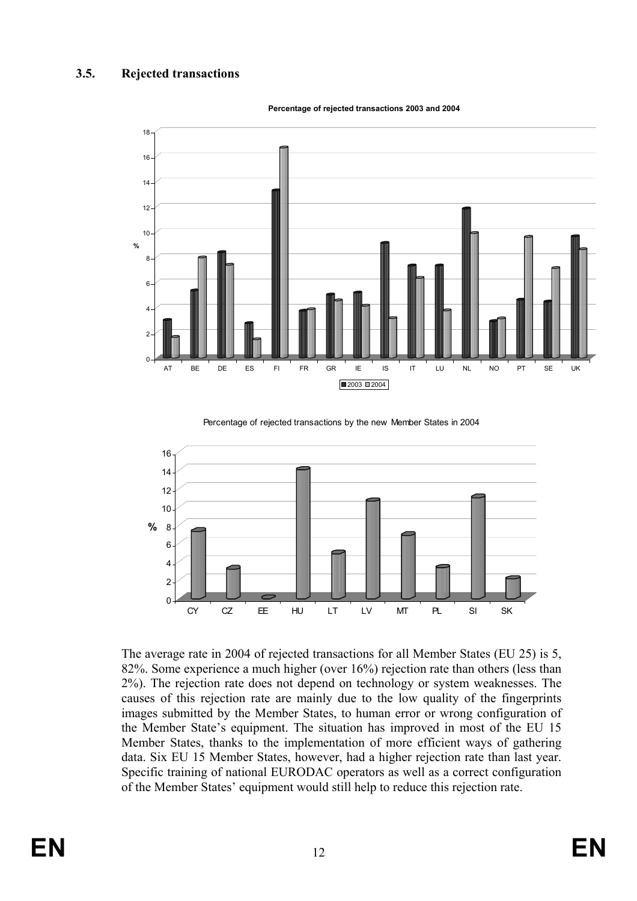

**Percentage of rejected transactions 2003 and 2004**

Percentage of rejected transactions by the new Member States in 2004



The average rate in 2004 of rejected transactions for all Member States (EU 25) is 5, 82%. Some experience a much higher (over 16%) rejection rate than others (less than 2%). The rejection rate does not depend on technology or system weaknesses. The causes of this rejection rate are mainly due to the low quality of the fingerprints images submitted by the Member States, to human error or wrong configuration of the Member State's equipment. The situation has improved in most of the EU 15 Member States, thanks to the implementation of more efficient ways of gathering data. Six EU 15 Member States, however, had a higher rejection rate than last year. Specific training of national EURODAC operators as well as a correct configuration of the Member States' equipment would still help to reduce this rejection rate.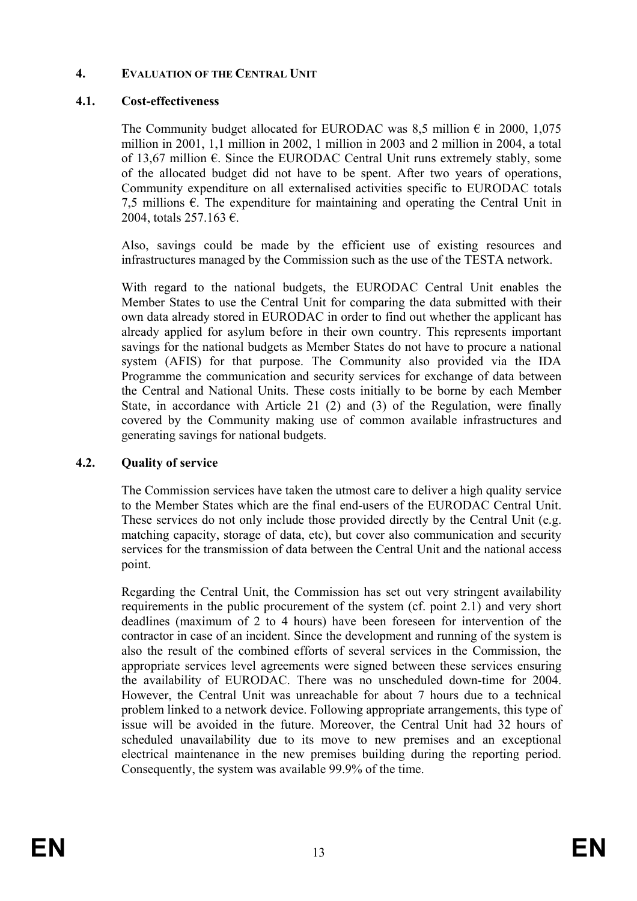# **4. EVALUATION OF THE CENTRAL UNIT**

# **4.1. Cost-effectiveness**

The Community budget allocated for EURODAC was 8,5 million  $\epsilon$  in 2000, 1,075 million in 2001, 1,1 million in 2002, 1 million in 2003 and 2 million in 2004, a total of 13,67 million  $\epsilon$ . Since the EURODAC Central Unit runs extremely stably, some of the allocated budget did not have to be spent. After two years of operations, Community expenditure on all externalised activities specific to EURODAC totals 7,5 millions  $\epsilon$ . The expenditure for maintaining and operating the Central Unit in 2004, totals 257.163 €.

Also, savings could be made by the efficient use of existing resources and infrastructures managed by the Commission such as the use of the TESTA network.

With regard to the national budgets, the EURODAC Central Unit enables the Member States to use the Central Unit for comparing the data submitted with their own data already stored in EURODAC in order to find out whether the applicant has already applied for asylum before in their own country. This represents important savings for the national budgets as Member States do not have to procure a national system (AFIS) for that purpose. The Community also provided via the IDA Programme the communication and security services for exchange of data between the Central and National Units. These costs initially to be borne by each Member State, in accordance with Article 21 (2) and (3) of the Regulation, were finally covered by the Community making use of common available infrastructures and generating savings for national budgets.

# **4.2. Quality of service**

The Commission services have taken the utmost care to deliver a high quality service to the Member States which are the final end-users of the EURODAC Central Unit. These services do not only include those provided directly by the Central Unit (e.g. matching capacity, storage of data, etc), but cover also communication and security services for the transmission of data between the Central Unit and the national access point.

Regarding the Central Unit, the Commission has set out very stringent availability requirements in the public procurement of the system (cf. point 2.1) and very short deadlines (maximum of 2 to 4 hours) have been foreseen for intervention of the contractor in case of an incident. Since the development and running of the system is also the result of the combined efforts of several services in the Commission, the appropriate services level agreements were signed between these services ensuring the availability of EURODAC. There was no unscheduled down-time for 2004. However, the Central Unit was unreachable for about 7 hours due to a technical problem linked to a network device. Following appropriate arrangements, this type of issue will be avoided in the future. Moreover, the Central Unit had 32 hours of scheduled unavailability due to its move to new premises and an exceptional electrical maintenance in the new premises building during the reporting period. Consequently, the system was available 99.9% of the time.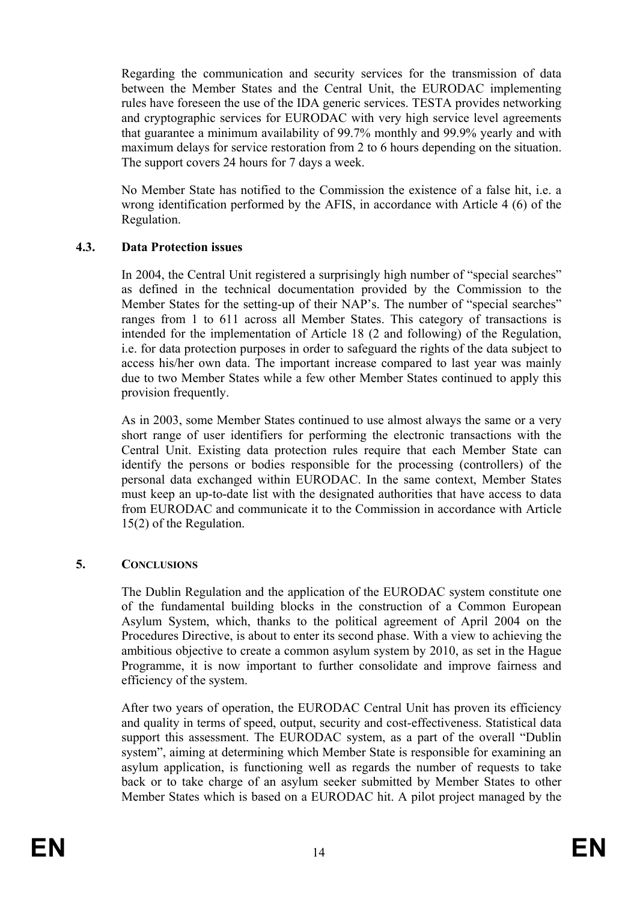Regarding the communication and security services for the transmission of data between the Member States and the Central Unit, the EURODAC implementing rules have foreseen the use of the IDA generic services. TESTA provides networking and cryptographic services for EURODAC with very high service level agreements that guarantee a minimum availability of 99.7% monthly and 99.9% yearly and with maximum delays for service restoration from 2 to 6 hours depending on the situation. The support covers 24 hours for 7 days a week.

No Member State has notified to the Commission the existence of a false hit, i.e. a wrong identification performed by the AFIS, in accordance with Article 4 (6) of the Regulation.

# **4.3. Data Protection issues**

In 2004, the Central Unit registered a surprisingly high number of "special searches" as defined in the technical documentation provided by the Commission to the Member States for the setting-up of their NAP's. The number of "special searches" ranges from 1 to 611 across all Member States. This category of transactions is intended for the implementation of Article 18 (2 and following) of the Regulation, i.e. for data protection purposes in order to safeguard the rights of the data subject to access his/her own data. The important increase compared to last year was mainly due to two Member States while a few other Member States continued to apply this provision frequently.

As in 2003, some Member States continued to use almost always the same or a very short range of user identifiers for performing the electronic transactions with the Central Unit. Existing data protection rules require that each Member State can identify the persons or bodies responsible for the processing (controllers) of the personal data exchanged within EURODAC. In the same context, Member States must keep an up-to-date list with the designated authorities that have access to data from EURODAC and communicate it to the Commission in accordance with Article 15(2) of the Regulation.

# **5. CONCLUSIONS**

The Dublin Regulation and the application of the EURODAC system constitute one of the fundamental building blocks in the construction of a Common European Asylum System, which, thanks to the political agreement of April 2004 on the Procedures Directive, is about to enter its second phase. With a view to achieving the ambitious objective to create a common asylum system by 2010, as set in the Hague Programme, it is now important to further consolidate and improve fairness and efficiency of the system.

After two years of operation, the EURODAC Central Unit has proven its efficiency and quality in terms of speed, output, security and cost-effectiveness. Statistical data support this assessment. The EURODAC system, as a part of the overall "Dublin system", aiming at determining which Member State is responsible for examining an asylum application, is functioning well as regards the number of requests to take back or to take charge of an asylum seeker submitted by Member States to other Member States which is based on a EURODAC hit. A pilot project managed by the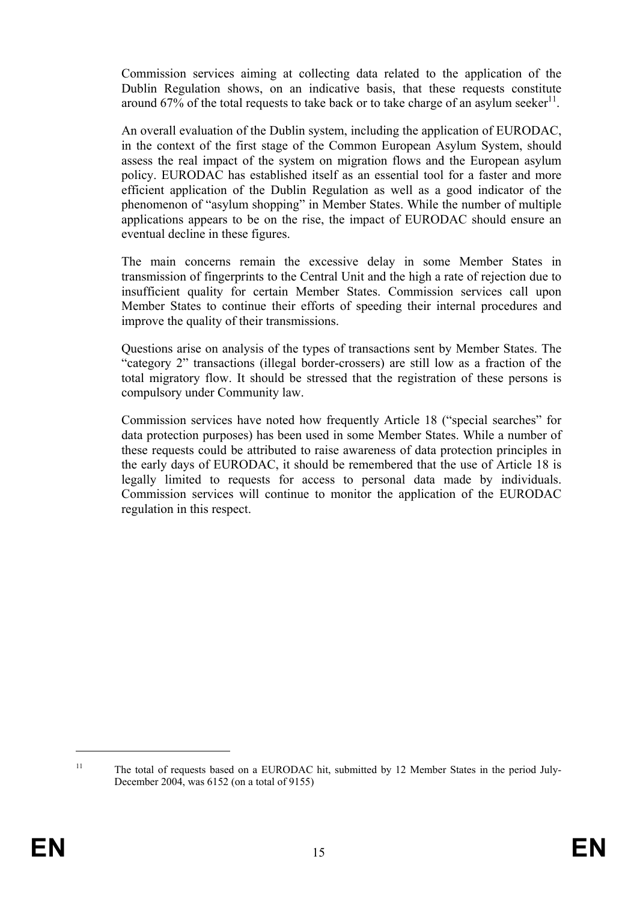Commission services aiming at collecting data related to the application of the Dublin Regulation shows, on an indicative basis, that these requests constitute around 67% of the total requests to take back or to take charge of an asylum seeker<sup>11</sup>.

An overall evaluation of the Dublin system, including the application of EURODAC, in the context of the first stage of the Common European Asylum System, should assess the real impact of the system on migration flows and the European asylum policy. EURODAC has established itself as an essential tool for a faster and more efficient application of the Dublin Regulation as well as a good indicator of the phenomenon of "asylum shopping" in Member States. While the number of multiple applications appears to be on the rise, the impact of EURODAC should ensure an eventual decline in these figures.

The main concerns remain the excessive delay in some Member States in transmission of fingerprints to the Central Unit and the high a rate of rejection due to insufficient quality for certain Member States. Commission services call upon Member States to continue their efforts of speeding their internal procedures and improve the quality of their transmissions.

Questions arise on analysis of the types of transactions sent by Member States. The "category 2" transactions (illegal border-crossers) are still low as a fraction of the total migratory flow. It should be stressed that the registration of these persons is compulsory under Community law.

Commission services have noted how frequently Article 18 ("special searches" for data protection purposes) has been used in some Member States. While a number of these requests could be attributed to raise awareness of data protection principles in the early days of EURODAC, it should be remembered that the use of Article 18 is legally limited to requests for access to personal data made by individuals. Commission services will continue to monitor the application of the EURODAC regulation in this respect.

<sup>&</sup>lt;sup>11</sup> The total of requests based on a EURODAC hit, submitted by 12 Member States in the period July-December 2004, was 6152 (on a total of 9155)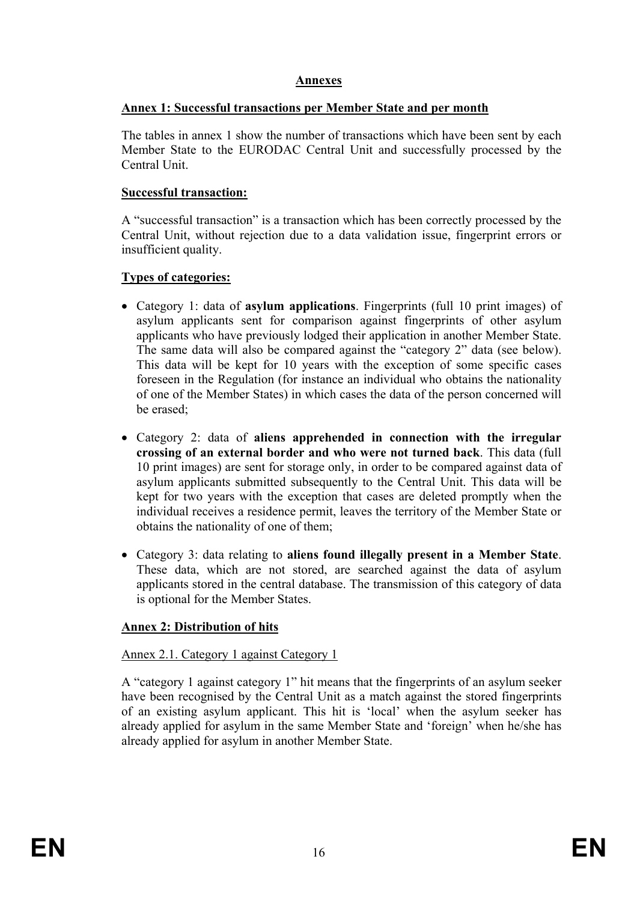# **Annexes**

# **Annex 1: Successful transactions per Member State and per month**

The tables in annex 1 show the number of transactions which have been sent by each Member State to the EURODAC Central Unit and successfully processed by the Central Unit.

# **Successful transaction:**

A "successful transaction" is a transaction which has been correctly processed by the Central Unit, without rejection due to a data validation issue, fingerprint errors or insufficient quality.

# **Types of categories:**

- Category 1: data of **asylum applications**. Fingerprints (full 10 print images) of asylum applicants sent for comparison against fingerprints of other asylum applicants who have previously lodged their application in another Member State. The same data will also be compared against the "category 2" data (see below). This data will be kept for 10 years with the exception of some specific cases foreseen in the Regulation (for instance an individual who obtains the nationality of one of the Member States) in which cases the data of the person concerned will be erased;
- Category 2: data of **aliens apprehended in connection with the irregular crossing of an external border and who were not turned back**. This data (full 10 print images) are sent for storage only, in order to be compared against data of asylum applicants submitted subsequently to the Central Unit. This data will be kept for two years with the exception that cases are deleted promptly when the individual receives a residence permit, leaves the territory of the Member State or obtains the nationality of one of them;
- Category 3: data relating to **aliens found illegally present in a Member State**. These data, which are not stored, are searched against the data of asylum applicants stored in the central database. The transmission of this category of data is optional for the Member States.

# **Annex 2: Distribution of hits**

# Annex 2.1. Category 1 against Category 1

A "category 1 against category 1" hit means that the fingerprints of an asylum seeker have been recognised by the Central Unit as a match against the stored fingerprints of an existing asylum applicant. This hit is 'local' when the asylum seeker has already applied for asylum in the same Member State and 'foreign' when he/she has already applied for asylum in another Member State.